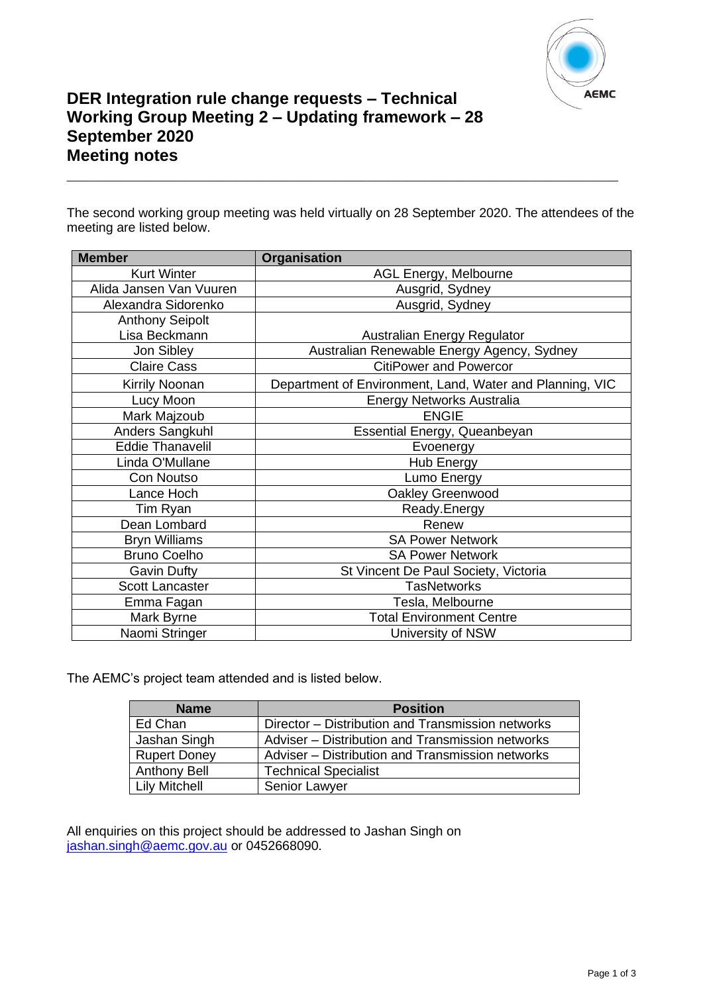

# **DER Integration rule change requests – Technical Working Group Meeting 2 – Updating framework – 28 September 2020 Meeting notes**

The second working group meeting was held virtually on 28 September 2020. The attendees of the meeting are listed below.

**\_\_\_\_\_\_\_\_\_\_\_\_\_\_\_\_\_\_\_\_\_\_\_\_\_\_\_\_\_\_\_\_\_\_\_\_\_\_\_\_\_\_\_\_\_\_\_\_\_\_\_\_\_\_\_\_\_\_\_\_**

| <b>Member</b>           | <b>Organisation</b>                                      |
|-------------------------|----------------------------------------------------------|
| <b>Kurt Winter</b>      | AGL Energy, Melbourne                                    |
| Alida Jansen Van Vuuren | Ausgrid, Sydney                                          |
| Alexandra Sidorenko     | Ausgrid, Sydney                                          |
| <b>Anthony Seipolt</b>  |                                                          |
| Lisa Beckmann           | Australian Energy Regulator                              |
| Jon Sibley              | Australian Renewable Energy Agency, Sydney               |
| <b>Claire Cass</b>      | <b>CitiPower and Powercor</b>                            |
| Kirrily Noonan          | Department of Environment, Land, Water and Planning, VIC |
| Lucy Moon               | <b>Energy Networks Australia</b>                         |
| Mark Majzoub            | <b>ENGIE</b>                                             |
| Anders Sangkuhl         | <b>Essential Energy, Queanbeyan</b>                      |
| <b>Eddie Thanavelil</b> | Evoenergy                                                |
| Linda O'Mullane         | <b>Hub Energy</b>                                        |
| Con Noutso              | Lumo Energy                                              |
| Lance Hoch              | Oakley Greenwood                                         |
| Tim Ryan                | Ready.Energy                                             |
| Dean Lombard            | Renew                                                    |
| <b>Bryn Williams</b>    | <b>SA Power Network</b>                                  |
| <b>Bruno Coelho</b>     | <b>SA Power Network</b>                                  |
| <b>Gavin Dufty</b>      | St Vincent De Paul Society, Victoria                     |
| <b>Scott Lancaster</b>  | <b>TasNetworks</b>                                       |
| Emma Fagan              | Tesla, Melbourne                                         |
| Mark Byrne              | <b>Total Environment Centre</b>                          |
| Naomi Stringer          | University of NSW                                        |

The AEMC's project team attended and is listed below.

| <b>Name</b>          | <b>Position</b>                                   |
|----------------------|---------------------------------------------------|
| Ed Chan              | Director – Distribution and Transmission networks |
| Jashan Singh         | Adviser - Distribution and Transmission networks  |
| <b>Rupert Doney</b>  | Adviser - Distribution and Transmission networks  |
| <b>Anthony Bell</b>  | <b>Technical Specialist</b>                       |
| <b>Lily Mitchell</b> | Senior Lawyer                                     |

All enquiries on this project should be addressed to Jashan Singh on [jashan.singh@aemc.gov.au](mailto:jashan.singh@aemc.gov.au) or 0452668090.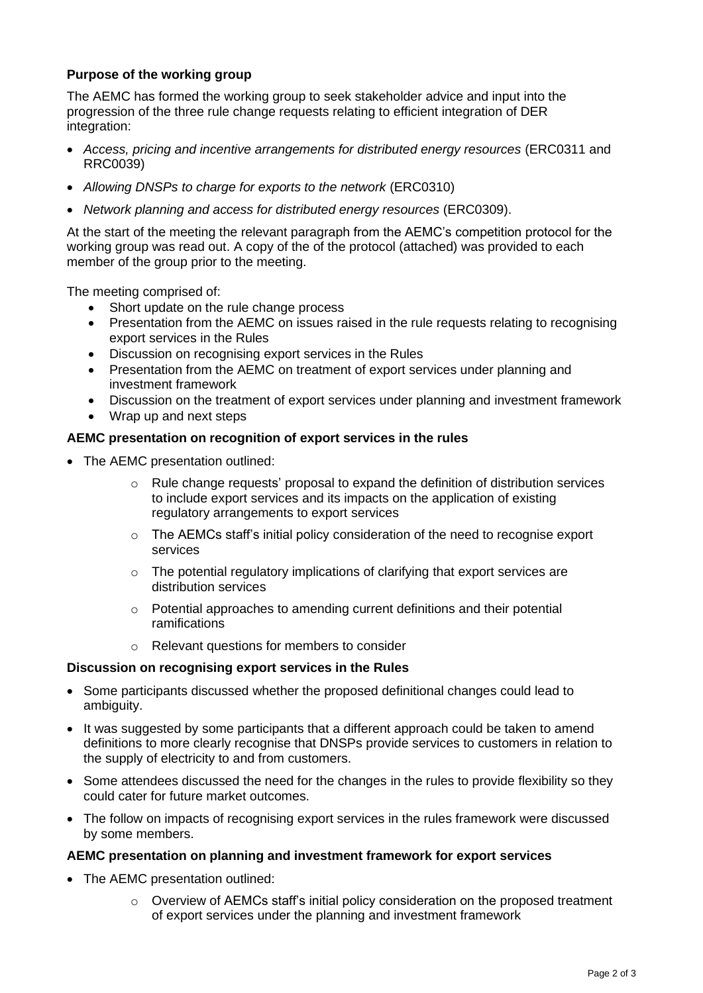# **Purpose of the working group**

The AEMC has formed the working group to seek stakeholder advice and input into the progression of the three rule change requests relating to efficient integration of DER integration:

- *Access, pricing and incentive arrangements for distributed energy resources* (ERC0311 and RRC0039)
- *Allowing DNSPs to charge for exports to the network* (ERC0310)
- *Network planning and access for distributed energy resources (ERC0309).*

At the start of the meeting the relevant paragraph from the AEMC's competition protocol for the working group was read out. A copy of the of the protocol (attached) was provided to each member of the group prior to the meeting.

The meeting comprised of:

- Short update on the rule change process
- Presentation from the AEMC on issues raised in the rule requests relating to recognising export services in the Rules
- Discussion on recognising export services in the Rules
- Presentation from the AEMC on treatment of export services under planning and investment framework
- Discussion on the treatment of export services under planning and investment framework
- Wrap up and next steps

### **AEMC presentation on recognition of export services in the rules**

- The AEMC presentation outlined:
	- $\circ$  Rule change requests' proposal to expand the definition of distribution services to include export services and its impacts on the application of existing regulatory arrangements to export services
	- o The AEMCs staff's initial policy consideration of the need to recognise export services
	- $\circ$  The potential regulatory implications of clarifying that export services are distribution services
	- o Potential approaches to amending current definitions and their potential ramifications
	- $\circ$  Relevant questions for members to consider

#### **Discussion on recognising export services in the Rules**

- Some participants discussed whether the proposed definitional changes could lead to ambiguity.
- It was suggested by some participants that a different approach could be taken to amend definitions to more clearly recognise that DNSPs provide services to customers in relation to the supply of electricity to and from customers.
- Some attendees discussed the need for the changes in the rules to provide flexibility so they could cater for future market outcomes.
- The follow on impacts of recognising export services in the rules framework were discussed by some members.

#### **AEMC presentation on planning and investment framework for export services**

- The AEMC presentation outlined:
	- $\circ$  Overview of AEMCs staff's initial policy consideration on the proposed treatment of export services under the planning and investment framework